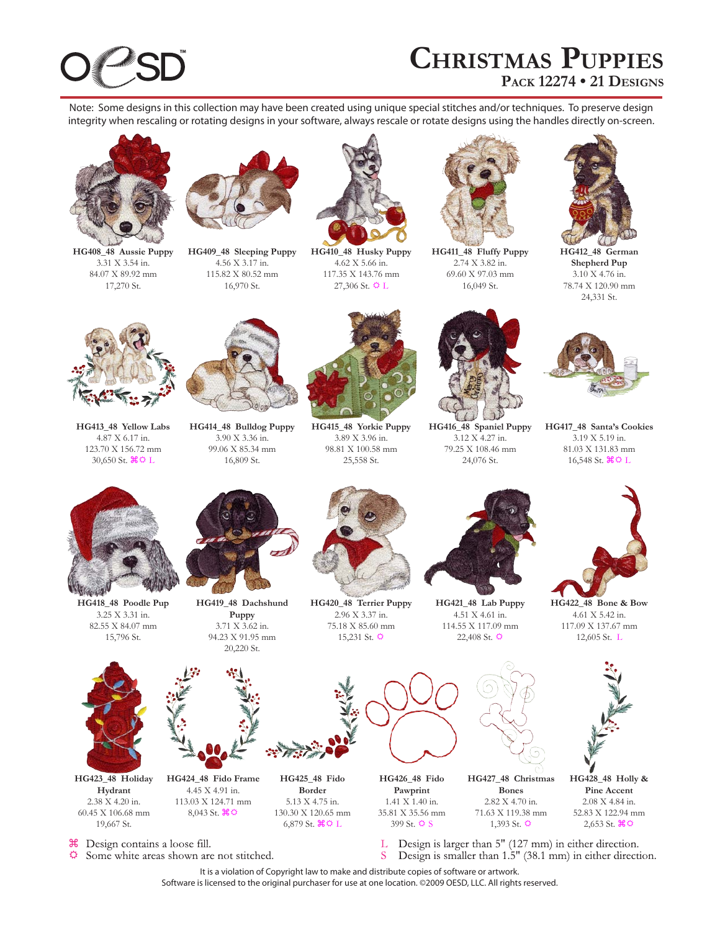# **Christmas Puppies Pack 12274 • 21 Designs**

Note: Some designs in this collection may have been created using unique special stitches and/or techniques. To preserve design integrity when rescaling or rotating designs in your software, always rescale or rotate designs using the handles directly on-screen.



**HG408\_48 Aussie Puppy** 3.31 X 3.54 in. 84.07 X 89.92 mm 17,270 St.



**HG409\_48 Sleeping Puppy** 4.56 X 3.17 in. 115.82 X 80.52 mm 16,970 St.



**HG410\_48 Husky Puppy** 4.62 X 5.66 in. 117.35 X 143.76 mm 27,306 St.  $\Phi$  L



**HG411\_48 Fluffy Puppy** 2.74 X 3.82 in. 69.60 X 97.03 mm 16,049 St.



**HG412\_48 German Shepherd Pup** 3.10 X 4.76 in. 78.74 X 120.90 mm 24,331 St.



**HG413\_48 Yellow Labs** 4.87 X 6.17 in. 123.70 X 156.72 mm 30,650 St.  $\mathcal{H} \circ L$ 



**HG414\_48 Bulldog Puppy** 3.90 X 3.36 in. 99.06 X 85.34 mm 16,809 St.



**HG415\_48 Yorkie Puppy** 3.89 X 3.96 in. 98.81 X 100.58 mm 25,558 St.



**HG416\_48 Spaniel Puppy** 3.12 X 4.27 in. 79.25 X 108.46 mm 24,076 St.



**HG417\_48 Santa's Cookies** 3.19 X 5.19 in. 81.03 X 131.83 mm 16,548 St.  $\mathcal{H} \Omega L$ 



**HG418\_48 Poodle Pup** 3.25 X 3.31 in. 82.55 X 84.07 mm 15,796 St.



**HG423\_48 Holiday Hydrant** 2.38 X 4.20 in. 60.45 X 106.68 mm 19,667 St.



**HG419\_48 Dachshund Puppy** 3.71 X 3.62 in. 94.23 X 91.95 mm 20,220 St.



**HG420\_48 Terrier Puppy** 2.96 X 3.37 in. 75.18 X 85.60 mm  $15,231$  St.  $\Phi$ 



**HG421\_48 Lab Puppy** 4.51 X 4.61 in. 114.55 X 117.09 mm  $22,408$  St.  $\ddot{Q}$ 



**HG422\_48 Bone & Bow** 4.61 X 5.42 in. 117.09 X 137.67 mm 12,605 St. L





**HG428\_48 Holly & Pine Accent** 2.08 X 4.84 in. 52.83 X 122.94 mm  $2,653$  St.  $\mathcal{H} \Phi$ 

௬ Design contains a loose fill.

Ö. Some white areas shown are not stitched.

**HG424\_48 Fido Frame** 4.45 X 4.91 in. 113.03 X 124.71 mm  $8,043$  St.  $\text{H} \Omega$ 

> Design is larger than 5" (127 mm) in either direction. Τ. Design is smaller than 1.5" (38.1 mm) in either direction. S

1,393 St.  $\ddot{Q}$ 

It is a violation of Copyright law to make and distribute copies of software or artwork. Software is licensed to the original purchaser for use at one location. ©2009 OESD, LLC. All rights reserved.

399 St.  $\ddot{\text{O}}$  S

**HG425\_48 Fido Border** 5.13 X 4.75 in. 130.30 X 120.65 mm 6,879 St.  $\mathcal{H} \mathfrak{D}$  L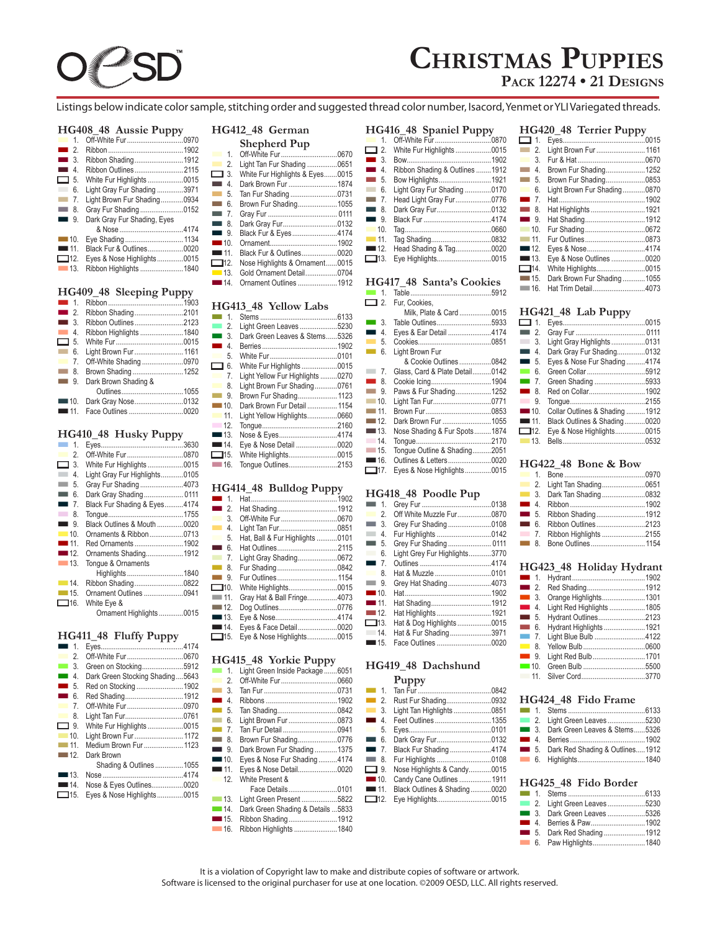

# **Christmas Puppies**

**Pack 12274 • 21 Designs**

Listings below indicate color sample, stitching order and suggested thread color number, Isacord, Yenmet or YLI Variegated threads.

## **HG408\_48 Aussie Puppy**

|                    | - - - -                     |  |
|--------------------|-----------------------------|--|
| $\blacksquare$ 1.  |                             |  |
| $\blacksquare$ 2   |                             |  |
| $\blacksquare$ 3.  | Ribbon Shading1912          |  |
| $\blacksquare$ 4.  | Ribbon Outlines 2115        |  |
| $\Box$ 5.          | White Fur Highlights0015    |  |
| 6.                 | Light Gray Fur Shading 3971 |  |
| $-7.$              | Light Brown Fur Shading0934 |  |
| $-8.$              | Gray Fur Shading0152        |  |
| $\blacksquare$ 9.  | Dark Gray Fur Shading, Eyes |  |
|                    |                             |  |
| $\blacksquare$ 10. |                             |  |
| $\blacksquare$ 11  | Black Fur & Outlines0020    |  |
| $\Box$ 12.         | Eyes & Nose Highlights0015  |  |
| $\blacksquare$ 13. | Ribbon Highlights 1840      |  |

## **HG409\_48 Sleeping Puppy**

| Ribbon Outlines2123                      |  |
|------------------------------------------|--|
| Ribbon Highlights 1840                   |  |
|                                          |  |
| Light Brown Fur  1161                    |  |
|                                          |  |
| Brown Shading1252                        |  |
| Dark Brown Shading &                     |  |
|                                          |  |
| $\blacksquare$ 10.<br>Dark Gray Nose0132 |  |
|                                          |  |
|                                          |  |

# **HG410\_48 Husky Puppy**

| $\mathbf{1}$            |                               |  |
|-------------------------|-------------------------------|--|
| 2.<br>a sa n            | Off-White Fur0870             |  |
| $\Box$ 3.               | White Fur Highlights 0015     |  |
| 4.<br><b>Contract</b>   | Light Gray Fur Highlights0105 |  |
| 5.<br><b>All Street</b> | Gray Fur Shading4073          |  |
| 6.<br><b>The Co</b>     | Dark Gray Shading 0111        |  |
| $-7.$                   | Black Fur Shading & Eyes4174  |  |
| $\blacksquare$ 8.       |                               |  |
| $\blacksquare$ 9.       | Black Outlines & Mouth 0020   |  |
| $\blacksquare$ 10.      | Ornaments & Ribbon0713        |  |
| $\blacksquare$ 11.      | Red Ornaments 1902            |  |
| $\blacksquare$ 12.      | Ornaments Shading1912         |  |
| $-13.$                  | Tonque & Ornaments            |  |
|                         | Highlights1840                |  |
| $-14.$                  | Ribbon Shading0822            |  |
| $\blacksquare$ 15.      | Ornament Outlines 0941        |  |
| $\Box$ 16.              | White Eye &                   |  |
|                         | Ornament Highlights0015       |  |
|                         |                               |  |

# **HG411\_48 Fluffy Puppy**

| $\tilde{\phantom{a}}$<br>. |                                                                                                                                                                                                                                                                                  |
|----------------------------|----------------------------------------------------------------------------------------------------------------------------------------------------------------------------------------------------------------------------------------------------------------------------------|
|                            |                                                                                                                                                                                                                                                                                  |
|                            |                                                                                                                                                                                                                                                                                  |
|                            |                                                                                                                                                                                                                                                                                  |
|                            |                                                                                                                                                                                                                                                                                  |
|                            |                                                                                                                                                                                                                                                                                  |
|                            |                                                                                                                                                                                                                                                                                  |
|                            |                                                                                                                                                                                                                                                                                  |
|                            |                                                                                                                                                                                                                                                                                  |
|                            |                                                                                                                                                                                                                                                                                  |
|                            |                                                                                                                                                                                                                                                                                  |
| Dark Brown                 |                                                                                                                                                                                                                                                                                  |
|                            |                                                                                                                                                                                                                                                                                  |
|                            |                                                                                                                                                                                                                                                                                  |
|                            |                                                                                                                                                                                                                                                                                  |
| Eyes & Nose Highlights0015 |                                                                                                                                                                                                                                                                                  |
|                            | Green on Stocking5912<br>Dark Green Stocking Shading5643<br>Red on Stocking1902<br>Red Shading1912<br>Off-White Fur0970<br>Light Tan Fur0761<br>White Fur Highlights0015<br>Light Brown Fur 1172<br>Medium Brown Fur  1123<br>Shading & Outlines1055<br>Nose & Eyes Outlines0020 |

# **HG412\_48 German**

|                     | <b>Shepherd Pup</b>             |  |
|---------------------|---------------------------------|--|
| $\mathbf{1}$ .      |                                 |  |
| 2.                  | Light Tan Fur Shading 0651      |  |
| $\Box$ 3.           | White Fur Highlights & Eyes0015 |  |
| 4<br>and in         | Dark Brown Fur 1874             |  |
| 5.<br><b>The Co</b> | Tan Fur Shading0731             |  |
| 6.<br>m.            | Brown Fur Shading1055           |  |
| $\blacksquare$ 7.   |                                 |  |
| $\equiv$ 8.         | Dark Gray Fur0132               |  |
| $\blacksquare$ 9.   | Black Fur & Eyes4174            |  |
| $\blacksquare$ 10.  |                                 |  |
| $\blacksquare$ 11   | Black Fur & Outlines0020        |  |
| $\Box$ 12.          | Nose Highlights & Ornament0015  |  |
| $\blacksquare$ 13.  | Gold Ornament Detail0704        |  |
| $\blacksquare$ 14.  | Ornament Outlines 1912          |  |

# **HG413\_48 Yellow Labs**

| <b>The Co</b><br>$\overline{1}$ |                                  |  |
|---------------------------------|----------------------------------|--|
| $\blacksquare$ 2.               | Light Green Leaves5230           |  |
| $\sim$<br>3.                    | Dark Green Leaves & Stems5326    |  |
| <b>Contract</b><br>4.           |                                  |  |
| 5.                              |                                  |  |
| ▭<br>6.                         | White Fur Highlights 0015        |  |
| 7.                              | Light Yellow Fur Highlights 0270 |  |
| <b>The Co</b><br>8.             | Light Brown Fur Shading0761      |  |
| $\blacksquare$ 9.               | Brown Fur Shading 1123           |  |
| $\blacksquare$ 10.              | Dark Brown Fur Detail 1154       |  |
| 11.                             | Light Yellow Highlights0660      |  |
| 12                              |                                  |  |
| $\blacksquare$ 13.              | Nose & Eyes4174                  |  |
| $\blacksquare$ 14.              | Eye & Nose Detail 0020           |  |
| $\Box$ 15.                      | White Highlights0015             |  |
| $-16.$                          | Tongue Outlines2153              |  |
|                                 |                                  |  |

# **HG414\_48 Bulldog Puppy**

| $\blacksquare$ 1                  |                                 |  |
|-----------------------------------|---------------------------------|--|
| $\blacksquare$ 2.                 |                                 |  |
| 3.                                |                                 |  |
| <b>The Co</b><br>$\overline{4}$ . | Light Tan Fur0851               |  |
| 5.                                | Hat, Ball & Fur Highlights 0101 |  |
| $\sim$<br>6.                      | Hat Outlines2115                |  |
| $\blacksquare$ 7.                 | Light Gray Shading0672          |  |
| $\blacksquare$ 8.                 |                                 |  |
| $\blacksquare$ 9.                 | Fur Outlines 1154               |  |
| $\Box$ 10.                        | White Highlights0015            |  |
| $-11$                             | Gray Hat & Ball Fringe4073      |  |
| $-12.$                            | Dog Outlines0776                |  |
| $\blacksquare$ 13.                |                                 |  |
| $\blacksquare$ 14.                | Eyes & Face Detail0020          |  |
| $\Box$ 15.                        | Eye & Nose Highlights0015       |  |

# **HG415\_48 Yorkie Puppy**

| $\mathbf{1}$<br><b>The Co</b> | Light Green Inside Package  6051   |  |
|-------------------------------|------------------------------------|--|
| 2.                            | Off-White Fur0660                  |  |
| 3.<br><b>The Co</b>           |                                    |  |
| 4<br>$\mathcal{L}_{\rm{max}}$ |                                    |  |
| 5.<br><b>Contract</b>         |                                    |  |
| 6.<br><b>The Co</b>           | Light Brown Fur 0873               |  |
| $-7.$                         | Tan Fur Detail 0941                |  |
| $\blacksquare$ 8.             | Brown Fur Shading0776              |  |
| $\blacksquare$ 9              | Dark Brown Fur Shading1375         |  |
| $\blacksquare$ 10.            | Eyes & Nose Fur Shading4174        |  |
| $\blacksquare$ 11.            | Eyes & Nose Detail0020             |  |
| $\overline{12}$               | White Present &                    |  |
|                               | Face Details0101                   |  |
| $\blacksquare$ 13.            | Light Green Present 5822           |  |
| $\blacksquare$ 14.            | Dark Green Shading & Details  5833 |  |
| $\blacksquare$ 15.            | Ribbon Shading1912                 |  |
| $-16.$                        | Ribbon Highlights 1840             |  |
|                               |                                    |  |

#### **HG416\_48 Spaniel Puppy** 1. Off-White  $\overline{\mathsf{Fur}}$ .......... 2. White Fur Highlights ........................0015 n 3. Bow.............................................1902 n 4. Ribbon Shading & Outlines ........1912 5. Bow Highlights.... n 6. Light Gray Fur Shading ..............0170 7. Head Light Gray Fur.....

#### n 8. Dark Gray Fur.............................0132 n 9. Black Fur ....................................4174 n 10. Tag..............................................0660 n 11. Tag Shading................................0832 12. Head Shading & Tag..... n 13. Eye Highlights.............................0015

# **HG417\_48 Santa's Cookies**

| <b>Contract</b><br>$\mathbf{1}$     |                                |  |
|-------------------------------------|--------------------------------|--|
| $\Box$ 2.                           | Fur, Cookies,                  |  |
|                                     | Milk. Plate & Card0015         |  |
| <b>The State</b><br>-3.             | Table Outlines5933             |  |
| $\overline{4}$ .<br><b>Contract</b> | Eyes & Ear Detail 4174         |  |
| 5.<br><b>The Co</b>                 |                                |  |
| 6.<br><b>Tara</b>                   | Light Brown Fur                |  |
|                                     | & Cookie Outlines 0842         |  |
| 7.<br>L.                            | Glass, Card & Plate Detail0142 |  |
| $\blacksquare$ 8.                   |                                |  |
| $\overline{\phantom{1}}$ 9.         | Paws & Fur Shading1252         |  |
| $-10.$                              | Light Tan Fur0771              |  |
| $-11$                               |                                |  |
| $-12.$                              | Dark Brown Fur 1055            |  |
| $\blacksquare$ 13.                  | Nose Shading & Fur Spots1874   |  |
| 14.                                 |                                |  |
| $-15.$                              | Tonque Outline & Shading2051   |  |
| $\blacksquare$ 16.                  | Outlines & Letters0020         |  |
| □17.                                | Eyes & Nose Highlights0015     |  |

# **HG418\_48 Poodle Pup**

| $\blacksquare$ 1.              |                               |  |
|--------------------------------|-------------------------------|--|
| 2.<br><b>The Co</b>            | Off White Muzzle Fur0870      |  |
| $\Box$ 3.                      | Grey Fur Shading0108          |  |
| $\overline{4}$ .               | Fur Highlights 0142           |  |
| $\blacksquare$ 5.              | Grey Fur Shading 0111         |  |
| $\overline{\phantom{a}}$<br>6. | Light Grey Fur Highlights3770 |  |
| $\blacksquare$ 7.              |                               |  |
| 8                              | Hat & Muzzle 0101             |  |
| $\overline{\phantom{1}}$ 9.    | Grey Hat Shading4073          |  |
| $\blacksquare$ 10.             |                               |  |
| $\blacksquare$ 11              |                               |  |
| $\blacksquare$ 12.             | Hat Highlights  1921          |  |
| $\Box$ 13.                     | Hat & Dog Highlights0015      |  |
| 14.                            | Hat & Fur Shading3971         |  |
| $\blacksquare$ 15.             | Face Outlines 0020            |  |

# **HG419\_48 Dachshund**

| $\blacksquare$ 1.  |                              |  |
|--------------------|------------------------------|--|
| $\blacksquare$ 2.  | Rust Fur Shading0932         |  |
| $\blacksquare$ 3.  | Light Tan Highlights 0851    |  |
| $\blacksquare$ 4.  | Feet Outlines 1355           |  |
| 5.                 |                              |  |
| $\blacksquare$ 6.  | Dark Gray Fur0132            |  |
| $\blacksquare$ 7.  | Black Fur Shading4174        |  |
| $\blacksquare$ 8.  | Fur Highlights 0108          |  |
| $\Box$ 9.          | Nose Highlights & Candy0015  |  |
| $\blacksquare$ 10. | Candy Cane Outlines  1911    |  |
| $\blacksquare$ 11. | Black Outlines & Shading0020 |  |
| $\Box$ 12.         | Eye Highlights0015           |  |
|                    |                              |  |

|                       | HG420_48 Terrier Puppy       |  |
|-----------------------|------------------------------|--|
| $\Box$ 1.             |                              |  |
| $\mathfrak{D}$<br>m a | Light Brown Fur  1161        |  |
| 3<br><b>The Co</b>    |                              |  |
| 4<br><b>Tara</b>      | Brown Fur Shading1252        |  |
| 5.<br>m.              | Brown Fur Shading0853        |  |
| 6.<br><b>The Co</b>   | Light Brown Fur Shading0870  |  |
| $\blacksquare$ 7      |                              |  |
| -8<br><b>The Co</b>   | Hat Highlights 1921          |  |
| $\blacksquare$ 9      | Hat Shading1912              |  |
| $\blacksquare$ 10     |                              |  |
| $-11$                 |                              |  |
| $\blacksquare$ 12     | Eyes & Nose4174              |  |
| $\blacksquare$ 13     | Eye & Nose Outlines 0020     |  |
| $\Box$ 14.            | White Highlights0015         |  |
| $\Box$ 15.            | Dark Brown Fur Shading  1055 |  |
| — 16.                 | Hat Trim Detail4073          |  |

# **HG421\_48 Lab Puppy**

| $\Box$ 1.                   |                                |  |
|-----------------------------|--------------------------------|--|
| $\blacksquare$ 2.           |                                |  |
| $\overline{\phantom{1}}$ 3. | Light Gray Highlights0131      |  |
| $\blacksquare$ 4.           | Dark Gray Fur Shading0132      |  |
| $\blacksquare$ 5.           | Eyes & Nose Fur Shading4174    |  |
| $\blacksquare$ 6.           | Green Collar 5912              |  |
| $\Box$ 7.                   | Green Shading 5933             |  |
| $\blacksquare$ 8.           | Red on Collar1902              |  |
| 9.                          |                                |  |
| $\blacksquare$ 10.          | Collar Outlines & Shading 1912 |  |
| $\blacksquare$ 11.          | Black Outlines & Shading0020   |  |
| $\Box$ 12.                  | Eye & Nose Highlights0015      |  |
| $\blacksquare$ 13.          |                                |  |
|                             |                                |  |

# **HG422\_48 Bone & Bow**

# **HG423\_48 Holiday Hydrant**

| $\blacksquare$ 2. |                           |  |  |
|-------------------|---------------------------|--|--|
| $\blacksquare$ 3. | Orange Highlights1301     |  |  |
| $\blacksquare$ 4. | Light Red Highlights 1805 |  |  |
| $\blacksquare$ 5. | Hydrant Outlines2123      |  |  |
| $\blacksquare$ 6. | Hydrant Highlights1921    |  |  |
| $\blacksquare$ 7. | Light Blue Bulb 4122      |  |  |
| $\blacksquare$ 8. |                           |  |  |
| $\blacksquare$ 9. | Light Red Bulb1701        |  |  |
|                   |                           |  |  |
|                   |                           |  |  |
|                   |                           |  |  |

# **HG424\_48 Fido Frame**

| 11012101011001100100               |
|------------------------------------|
|                                    |
| 2. Light Green Leaves 5230         |
| 3. Dark Green Leaves & Stems5326   |
|                                    |
| 5. Dark Red Shading & Outlines1912 |
|                                    |

# **HG425\_48 Fido Border**

|  | 2. Light Green Leaves 5230<br>3. Dark Green Leaves 5326<br><b>4. Berries &amp; Paw1902</b><br>5. Dark Red Shading1912 |
|--|-----------------------------------------------------------------------------------------------------------------------|

It is a violation of Copyright law to make and distribute copies of software or artwork. Software is licensed to the original purchaser for use at one location. ©2009 OESD, LLC. All rights reserved.